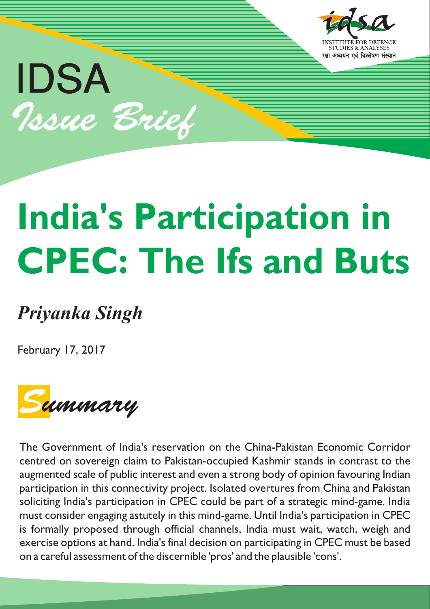

## IDSA Issue Brief

# **India's Participation in CPEC: The Ifs and Buts**

### *Priyanka Singh*

February 17, 2017



The Government of India's reservation on the China-Pakistan Economic Corridor centred on sovereign claim to Pakistan-occupied Kashmir stands in contrast to the augmented scale of public interest and even a strong body of opinion favouring Indian participation in this connectivity project. Isolated overtures from China and Pakistan soliciting India's participation in CPEC could be part of a strategic mind-game. India must consider engaging astutely in this mind-game. Until India's participation in CPEC is formally proposed through official channels, India must wait, watch, weigh and exercise options at hand. India's final decision on participating in CPEC must be based on a careful assessment of the discernible 'pros' and the plausible 'cons'.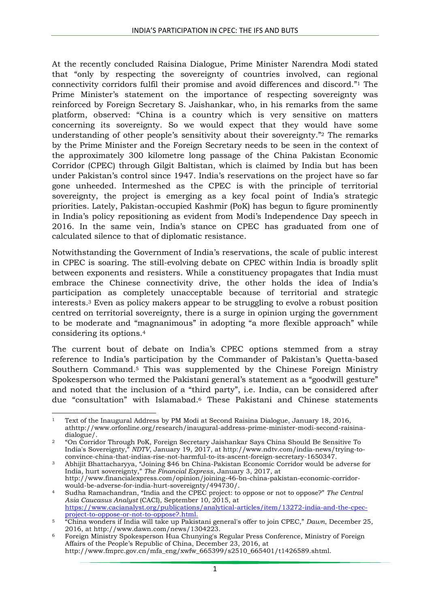At the recently concluded Raisina Dialogue, Prime Minister Narendra Modi stated that "only by respecting the sovereignty of countries involved, can regional connectivity corridors fulfil their promise and avoid differences and discord." <sup>1</sup> The Prime Minister's statement on the importance of respecting sovereignty was reinforced by Foreign Secretary S. Jaishankar, who, in his remarks from the same platform, observed: "China is a country which is very sensitive on matters concerning its sovereignty. So we would expect that they would have some understanding of other people's sensitivity about their sovereignty." <sup>2</sup> The remarks by the Prime Minister and the Foreign Secretary needs to be seen in the context of the approximately 300 kilometre long passage of the China Pakistan Economic Corridor (CPEC) through Gilgit Baltistan, which is claimed by India but has been under Pakistan's control since 1947. India's reservations on the project have so far gone unheeded. Intermeshed as the CPEC is with the principle of territorial sovereignty, the project is emerging as a key focal point of India's strategic priorities. Lately, Pakistan-occupied Kashmir (PoK) has begun to figure prominently in India's policy repositioning as evident from Modi's Independence Day speech in 2016. In the same vein, India's stance on CPEC has graduated from one of calculated silence to that of diplomatic resistance.

Notwithstanding the Government of India's reservations, the scale of public interest in CPEC is soaring. The still-evolving debate on CPEC within India is broadly split between exponents and resisters. While a constituency propagates that India must embrace the Chinese connectivity drive, the other holds the idea of India's participation as completely unacceptable because of territorial and strategic interests.<sup>3</sup> Even as policy makers appear to be struggling to evolve a robust position centred on territorial sovereignty, there is a surge in opinion urging the government to be moderate and "magnanimous" in adopting "a more flexible approach" while considering its options.<sup>4</sup>

The current bout of debate on India's CPEC options stemmed from a stray reference to India's participation by the Commander of Pakistan's Quetta-based Southern Command.<sup>5</sup> This was supplemented by the Chinese Foreign Ministry Spokesperson who termed the Pakistani general's statement as a "goodwill gesture" and noted that the inclusion of a "third party", i.e. India, can be considered after due "consultation" with Islamabad.<sup>6</sup> These Pakistani and Chinese statements

**<sup>.</sup>** <sup>1</sup> Text of the Inaugural Address by PM Modi at Second Raisina Dialogue, January 18, 2016, athttp://www.orfonline.org/research/inaugural-address-prime-minister-modi-second-raisinadialogue/.

<sup>2</sup> "On Corridor Through PoK, Foreign Secretary Jaishankar Says China Should Be Sensitive To India's Sovereignty," *NDTV*, January 19, 2017, at http://www.ndtv.com/india-news/trying-toconvince-china-that-indias-rise-not-harmful-to-its-ascent-foreign-secretary-1650347.

<sup>3</sup> Abhijit Bhattacharyya, "Joining \$46 bn China-Pakistan Economic Corridor would be adverse for India, hurt sovereignty," *The Financial Express*, January 3, 2017, at http://www.financialexpress.com/opinion/joining-46-bn-china-pakistan-economic-corridor-

would-be-adverse-for-india-hurt-sovereignty/494730/. <sup>4</sup> Sudha Ramachandran, "India and the CPEC project: to oppose or not to oppose?" *The Central Asia Caucasus Analyst* (CACI), September 10, 2015, at [https://www.cacianalyst.org/publications/analytical-articles/item/13272-india-and-the-cpec](https://www.cacianalyst.org/publications/analytical-articles/item/13272-india-and-the-cpec-project-to-oppose-or-not-to-oppose?.html)[project-to-oppose-or-not-to-oppose?.html.](https://www.cacianalyst.org/publications/analytical-articles/item/13272-india-and-the-cpec-project-to-oppose-or-not-to-oppose?.html)

<sup>5</sup> "China wonders if India will take up Pakistani general's offer to join CPEC," *Dawn*, December 25, 2016, at http://www.dawn.com/news/1304223.

<sup>6</sup> Foreign Ministry Spokesperson Hua Chunying's Regular Press Conference, Ministry of Foreign Affairs of the People's Republic of China, December 23, 2016, at http://www.fmprc.gov.cn/mfa\_eng/xwfw\_665399/s2510\_665401/t1426589.shtml.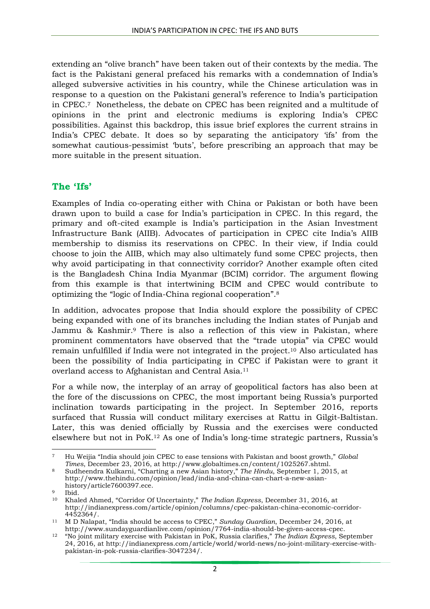extending an "olive branch" have been taken out of their contexts by the media. The fact is the Pakistani general prefaced his remarks with a condemnation of India's alleged subversive activities in his country, while the Chinese articulation was in response to a question on the Pakistani general's reference to India's participation in CPEC.7 Nonetheless, the debate on CPEC has been reignited and a multitude of opinions in the print and electronic mediums is exploring India's CPEC possibilities. Against this backdrop, this issue brief explores the current strains in India's CPEC debate. It does so by separating the anticipatory 'ifs' from the somewhat cautious-pessimist 'buts', before prescribing an approach that may be more suitable in the present situation.

#### **The 'Ifs'**

Examples of India co-operating either with China or Pakistan or both have been drawn upon to build a case for India's participation in CPEC. In this regard, the primary and oft-cited example is India's participation in the Asian Investment Infrastructure Bank (AIIB). Advocates of participation in CPEC cite India's AIIB membership to dismiss its reservations on CPEC. In their view, if India could choose to join the AIIB, which may also ultimately fund some CPEC projects, then why avoid participating in that connectivity corridor? Another example often cited is the Bangladesh China India Myanmar (BCIM) corridor. The argument flowing from this example is that intertwining BCIM and CPEC would contribute to optimizing the "logic of India-China regional cooperation".<sup>8</sup>

In addition, advocates propose that India should explore the possibility of CPEC being expanded with one of its branches including the Indian states of Punjab and Jammu & Kashmir. <sup>9</sup> There is also a reflection of this view in Pakistan, where prominent commentators have observed that the "trade utopia" via CPEC would remain unfulfilled if India were not integrated in the project.<sup>10</sup> Also articulated has been the possibility of India participating in CPEC if Pakistan were to grant it overland access to Afghanistan and Central Asia.<sup>11</sup>

For a while now, the interplay of an array of geopolitical factors has also been at the fore of the discussions on CPEC, the most important being Russia's purported inclination towards participating in the project. In September 2016, reports surfaced that Russia will conduct military exercises at Rattu in Gilgit-Baltistan. Later, this was denied officially by Russia and the exercises were conducted elsewhere but not in PoK. <sup>12</sup> As one of India's long-time strategic partners, Russia's

<sup>1</sup> <sup>7</sup> Hu Weijia "India should join CPEC to ease tensions with Pakistan and boost growth," *Global Times*, December 23, 2016, at http://www.globaltimes.cn/content/1025267.shtml.

<sup>8</sup> Sudheendra Kulkarni, "Charting a new Asian history," *The Hindu*, September 1, 2015, at http://www.thehindu.com/opinion/lead/india-and-china-can-chart-a-new-asianhistory/article7600397.ece.

<sup>9</sup> Ibid.

<sup>10</sup> Khaled Ahmed, "Corridor Of Uncertainty," *The Indian Express*, December 31, 2016, at http://indianexpress.com/article/opinion/columns/cpec-pakistan-china-economic-corridor-4452364/.

<sup>11</sup> M D Nalapat, "India should be access to CPEC," *Sunday Guardian*, December 24, 2016, at http://www.sundayguardianlive.com/opinion/7764-india-should-be-given-access-cpec.

<sup>12</sup> "No joint military exercise with Pakistan in PoK, Russia clarifies," *The Indian Express*, September 24, 2016, at http://indianexpress.com/article/world/world-news/no-joint-military-exercise-withpakistan-in-pok-russia-clarifies-3047234/.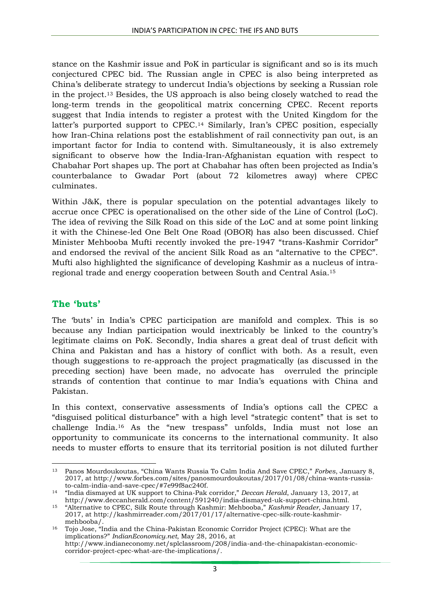stance on the Kashmir issue and PoK in particular is significant and so is its much conjectured CPEC bid. The Russian angle in CPEC is also being interpreted as China's deliberate strategy to undercut India's objections by seeking a Russian role in the project.<sup>13</sup> Besides, the US approach is also being closely watched to read the long-term trends in the geopolitical matrix concerning CPEC. Recent reports suggest that India intends to register a protest with the United Kingdom for the latter's purported support to CPEC. <sup>14</sup> Similarly, Iran's CPEC position, especially how Iran-China relations post the establishment of rail connectivity pan out, is an important factor for India to contend with. Simultaneously, it is also extremely significant to observe how the India-Iran-Afghanistan equation with respect to Chabahar Port shapes up. The port at Chabahar has often been projected as India's counterbalance to Gwadar Port (about 72 kilometres away) where CPEC culminates.

Within J&K, there is popular speculation on the potential advantages likely to accrue once CPEC is operationalised on the other side of the Line of Control (LoC). The idea of reviving the Silk Road on this side of the LoC and at some point linking it with the Chinese-led One Belt One Road (OBOR) has also been discussed. Chief Minister Mehbooba Mufti recently invoked the pre-1947 "trans-Kashmir Corridor" and endorsed the revival of the ancient Silk Road as an "alternative to the CPEC". Mufti also highlighted the significance of developing Kashmir as a nucleus of intraregional trade and energy cooperation between South and Central Asia.<sup>15</sup>

#### **The 'buts'**

**.** 

The 'buts' in India's CPEC participation are manifold and complex. This is so because any Indian participation would inextricably be linked to the country's legitimate claims on PoK. Secondly, India shares a great deal of trust deficit with China and Pakistan and has a history of conflict with both. As a result, even though suggestions to re-approach the project pragmatically (as discussed in the preceding section) have been made, no advocate has overruled the principle strands of contention that continue to mar India's equations with China and Pakistan.

In this context, conservative assessments of India's options call the CPEC a "disguised political disturbance" with a high level "strategic content" that is set to challenge India.<sup>16</sup> As the "new trespass" unfolds, India must not lose an opportunity to communicate its concerns to the international community. It also needs to muster efforts to ensure that its territorial position is not diluted further

<sup>13</sup> Panos Mourdoukoutas, "China Wants Russia To Calm India And Save CPEC," *Forbes*, January 8, 2017, at http://www.forbes.com/sites/panosmourdoukoutas/2017/01/08/china-wants-russiato-calm-india-and-save-cpec/#7e99f8ac240f.

<sup>14</sup> "India dismayed at UK support to China-Pak corridor," *Deccan Herald*, January 13, 2017, at http://www.deccanherald.com/content/591240/india-dismayed-uk-support-china.html.

<sup>15</sup> "Alternative to CPEC, Silk Route through Kashmir: Mehbooba," *Kashmir Reader*, January 17, 2017, at http://kashmirreader.com/2017/01/17/alternative-cpec-silk-route-kashmirmehbooba/.

<sup>16</sup> Tojo Jose, "India and the China-Pakistan Economic Corridor Project (CPEC): What are the implications?" *IndianEconomicy.net*, May 28, 2016, at http://www.indianeconomy.net/splclassroom/208/india-and-the-chinapakistan-economiccorridor-project-cpec-what-are-the-implications/.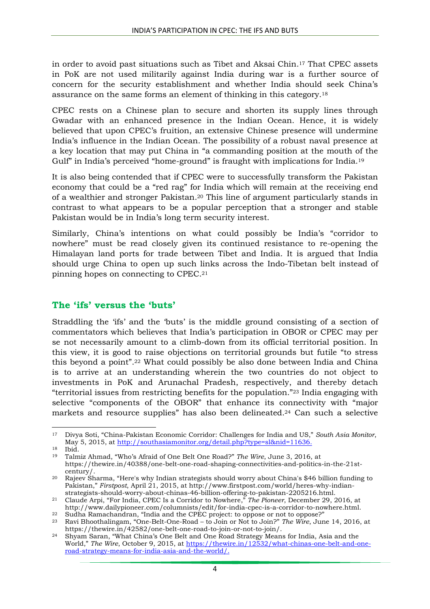in order to avoid past situations such as Tibet and Aksai Chin. <sup>17</sup> That CPEC assets in PoK are not used militarily against India during war is a further source of concern for the security establishment and whether India should seek China's assurance on the same forms an element of thinking in this category.<sup>18</sup>

CPEC rests on a Chinese plan to secure and shorten its supply lines through Gwadar with an enhanced presence in the Indian Ocean. Hence, it is widely believed that upon CPEC's fruition, an extensive Chinese presence will undermine India's influence in the Indian Ocean. The possibility of a robust naval presence at a key location that may put China in "a commanding position at the mouth of the Gulf" in India's perceived "home-ground" is fraught with implications for India.<sup>19</sup>

It is also being contended that if CPEC were to successfully transform the Pakistan economy that could be a "red rag" for India which will remain at the receiving end of a wealthier and stronger Pakistan.<sup>20</sup> This line of argument particularly stands in contrast to what appears to be a popular perception that a stronger and stable Pakistan would be in India's long term security interest.

Similarly, China's intentions on what could possibly be India's "corridor to nowhere" must be read closely given its continued resistance to re-opening the Himalayan land ports for trade between Tibet and India. It is argued that India should urge China to open up such links across the Indo-Tibetan belt instead of pinning hopes on connecting to CPEC.<sup>21</sup>

#### **The 'ifs' versus the 'buts'**

Straddling the 'ifs' and the 'buts' is the middle ground consisting of a section of commentators which believes that India's participation in OBOR or CPEC may per se not necessarily amount to a climb-down from its official territorial position. In this view, it is good to raise objections on territorial grounds but futile "to stress this beyond a point".<sup>22</sup> What could possibly be also done between India and China is to arrive at an understanding wherein the two countries do not object to investments in PoK and Arunachal Pradesh, respectively, and thereby detach "territorial issues from restricting benefits for the population."<sup>23</sup> India engaging with selective "components of the OBOR" that enhance its connectivity with "major markets and resource supplies" has also been delineated. <sup>24</sup> Can such a selective

1

<sup>17</sup> Divya Soti, "China-Pakistan Economic Corridor: Challenges for India and US," *South Asia Monitor*, May 5, 2015, at [http://southasiamonitor.org/detail.php?type=sl&nid=11636.](http://southasiamonitor.org/detail.php?type=sl&nid=11636)

<sup>18</sup> Ibid.

<sup>19</sup> Talmiz Ahmad, "Who's Afraid of One Belt One Road?" *The Wire*, June 3, 2016, at https://thewire.in/40388/one-belt-one-road-shaping-connectivities-and-politics-in-the-21stcentury/.

<sup>20</sup> Rajeev Sharma, "Here's why Indian strategists should worry about China's \$46 billion funding to Pakistan," *Firstpost*, April 21, 2015, at http://www.firstpost.com/world/heres-why-indianstrategists-should-worry-about-chinas-46-billion-offering-to-pakistan-2205216.html.

<sup>21</sup> Claude Arpi, "For India, CPEC Is a Corridor to Nowhere," *The Pioneer*, December 29, 2016, at http://www.dailypioneer.com/columnists/edit/for-india-cpec-is-a-corridor-to-nowhere.html.

<sup>22</sup> Sudha Ramachandran, "India and the CPEC project: to oppose or not to oppose?"

<sup>23</sup> Ravi Bhoothalingam, "One-Belt-One-Road – to Join or Not to Join?" *The Wire*, June 14, 2016, at https://thewire.in/42582/one-belt-one-road-to-join-or-not-to-join/.

<sup>24</sup> Shyam Saran, "What China's One Belt and One Road Strategy Means for India, Asia and the World," *The Wire*, October 9, 2015, at [https://thewire.in/12532/what-chinas-one-belt-and-one](https://thewire.in/12532/what-chinas-one-belt-and-one-road-strategy-means-for-india-asia-and-the-world/)[road-strategy-means-for-india-asia-and-the-world/.](https://thewire.in/12532/what-chinas-one-belt-and-one-road-strategy-means-for-india-asia-and-the-world/)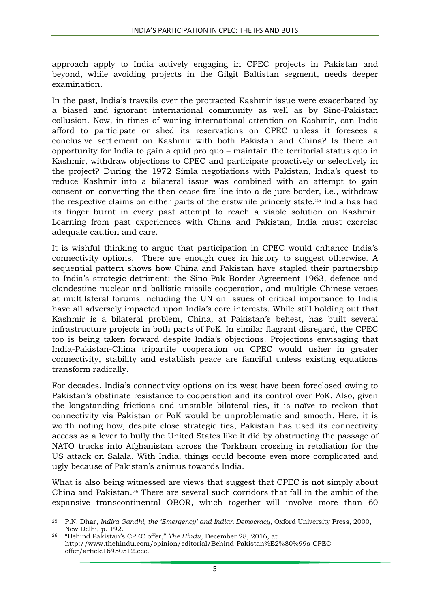approach apply to India actively engaging in CPEC projects in Pakistan and beyond, while avoiding projects in the Gilgit Baltistan segment, needs deeper examination.

In the past, India's travails over the protracted Kashmir issue were exacerbated by a biased and ignorant international community as well as by Sino-Pakistan collusion. Now, in times of waning international attention on Kashmir, can India afford to participate or shed its reservations on CPEC unless it foresees a conclusive settlement on Kashmir with both Pakistan and China? Is there an opportunity for India to gain a quid pro quo – maintain the territorial status quo in Kashmir, withdraw objections to CPEC and participate proactively or selectively in the project? During the 1972 Simla negotiations with Pakistan, India's quest to reduce Kashmir into a bilateral issue was combined with an attempt to gain consent on converting the then cease fire line into a de jure border, i.e., withdraw the respective claims on either parts of the erstwhile princely state.<sup>25</sup> India has had its finger burnt in every past attempt to reach a viable solution on Kashmir. Learning from past experiences with China and Pakistan, India must exercise adequate caution and care.

It is wishful thinking to argue that participation in CPEC would enhance India's connectivity options. There are enough cues in history to suggest otherwise. A sequential pattern shows how China and Pakistan have stapled their partnership to India's strategic detriment: the Sino-Pak Border Agreement 1963, defence and clandestine nuclear and ballistic missile cooperation, and multiple Chinese vetoes at multilateral forums including the UN on issues of critical importance to India have all adversely impacted upon India's core interests. While still holding out that Kashmir is a bilateral problem, China, at Pakistan's behest, has built several infrastructure projects in both parts of PoK. In similar flagrant disregard, the CPEC too is being taken forward despite India's objections. Projections envisaging that India-Pakistan-China tripartite cooperation on CPEC would usher in greater connectivity, stability and establish peace are fanciful unless existing equations transform radically.

For decades, India's connectivity options on its west have been foreclosed owing to Pakistan's obstinate resistance to cooperation and its control over PoK. Also, given the longstanding frictions and unstable bilateral ties, it is naïve to reckon that connectivity via Pakistan or PoK would be unproblematic and smooth. Here, it is worth noting how, despite close strategic ties, Pakistan has used its connectivity access as a lever to bully the United States like it did by obstructing the passage of NATO trucks into Afghanistan across the Torkham crossing in retaliation for the US attack on Salala. With India, things could become even more complicated and ugly because of Pakistan's animus towards India.

What is also being witnessed are views that suggest that CPEC is not simply about China and Pakistan. <sup>26</sup> There are several such corridors that fall in the ambit of the expansive transcontinental OBOR, which together will involve more than 60

1

<sup>25</sup> P.N. Dhar, *Indira Gandhi, the 'Emergency' and Indian Democracy*, Oxford University Press, 2000, New Delhi, p. 192.

<sup>26</sup> "Behind Pakistan's CPEC offer," *The Hindu*, December 28, 2016, at http://www.thehindu.com/opinion/editorial/Behind-Pakistan%E2%80%99s-CPECoffer/article16950512.ece.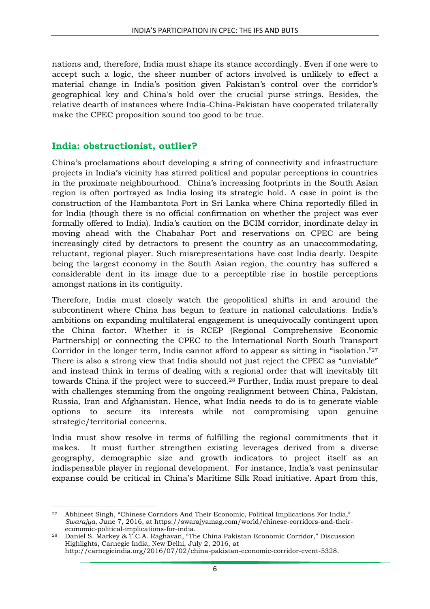nations and, therefore, India must shape its stance accordingly. Even if one were to accept such a logic, the sheer number of actors involved is unlikely to effect a material change in India's position given Pakistan's control over the corridor's geographical key and China's hold over the crucial purse strings. Besides, the relative dearth of instances where India-China-Pakistan have cooperated trilaterally make the CPEC proposition sound too good to be true.

#### **India: obstructionist, outlier?**

China's proclamations about developing a string of connectivity and infrastructure projects in India's vicinity has stirred political and popular perceptions in countries in the proximate neighbourhood. China's increasing footprints in the South Asian region is often portrayed as India losing its strategic hold. A case in point is the construction of the Hambantota Port in Sri Lanka where China reportedly filled in for India (though there is no official confirmation on whether the project was ever formally offered to India). India's caution on the BCIM corridor, inordinate delay in moving ahead with the Chabahar Port and reservations on CPEC are being increasingly cited by detractors to present the country as an unaccommodating, reluctant, regional player. Such misrepresentations have cost India dearly. Despite being the largest economy in the South Asian region, the country has suffered a considerable dent in its image due to a perceptible rise in hostile perceptions amongst nations in its contiguity.

Therefore, India must closely watch the geopolitical shifts in and around the subcontinent where China has begun to feature in national calculations. India's ambitions on expanding multilateral engagement is unequivocally contingent upon the China factor. Whether it is RCEP (Regional Comprehensive Economic Partnership) or connecting the CPEC to the International North South Transport Corridor in the longer term, India cannot afford to appear as sitting in "isolation."<sup>27</sup> There is also a strong view that India should not just reject the CPEC as "unviable" and instead think in terms of dealing with a regional order that will inevitably tilt towards China if the project were to succeed.<sup>28</sup> Further, India must prepare to deal with challenges stemming from the ongoing realignment between China, Pakistan, Russia, Iran and Afghanistan. Hence, what India needs to do is to generate viable options to secure its interests while not compromising upon genuine strategic/territorial concerns.

India must show resolve in terms of fulfilling the regional commitments that it makes. It must further strengthen existing leverages derived from a diverse geography, demographic size and growth indicators to project itself as an indispensable player in regional development. For instance, India's vast peninsular expanse could be critical in China's Maritime Silk Road initiative. Apart from this,

**<sup>.</sup>** <sup>27</sup> Abhineet Singh, "Chinese Corridors And Their Economic, Political Implications For India," *Swarajya*, June 7, 2016, at https://swarajyamag.com/world/chinese-corridors-and-theireconomic-political-implications-for-india.

<sup>28</sup> Daniel S. Markey & T.C.A. Raghavan, "The China Pakistan Economic Corridor," Discussion Highlights, Carnegie India, New Delhi, July 2, 2016, at http://carnegieindia.org/2016/07/02/china-pakistan-economic-corridor-event-5328.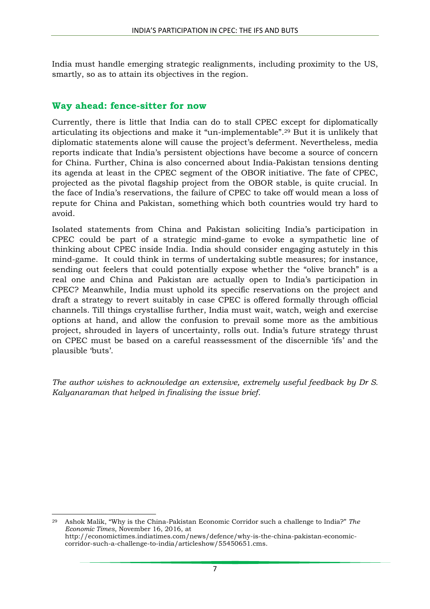India must handle emerging strategic realignments, including proximity to the US, smartly, so as to attain its objectives in the region.

#### **Way ahead: fence-sitter for now**

Currently, there is little that India can do to stall CPEC except for diplomatically articulating its objections and make it "un-implementable". <sup>29</sup> But it is unlikely that diplomatic statements alone will cause the project's deferment. Nevertheless, media reports indicate that India's persistent objections have become a source of concern for China. Further, China is also concerned about India-Pakistan tensions denting its agenda at least in the CPEC segment of the OBOR initiative. The fate of CPEC, projected as the pivotal flagship project from the OBOR stable, is quite crucial. In the face of India's reservations, the failure of CPEC to take off would mean a loss of repute for China and Pakistan, something which both countries would try hard to avoid.

Isolated statements from China and Pakistan soliciting India's participation in CPEC could be part of a strategic mind-game to evoke a sympathetic line of thinking about CPEC inside India. India should consider engaging astutely in this mind-game. It could think in terms of undertaking subtle measures; for instance, sending out feelers that could potentially expose whether the "olive branch" is a real one and China and Pakistan are actually open to India's participation in CPEC? Meanwhile, India must uphold its specific reservations on the project and draft a strategy to revert suitably in case CPEC is offered formally through official channels. Till things crystallise further, India must wait, watch, weigh and exercise options at hand, and allow the confusion to prevail some more as the ambitious project, shrouded in layers of uncertainty, rolls out. India's future strategy thrust on CPEC must be based on a careful reassessment of the discernible 'ifs' and the plausible 'buts'.

*The author wishes to acknowledge an extensive, extremely useful feedback by Dr S. Kalyanaraman that helped in finalising the issue brief.*

1 <sup>29</sup> Ashok Malik, "Why is the China-Pakistan Economic Corridor such a challenge to India?" *The Economic Times*, November 16, 2016, at http://economictimes.indiatimes.com/news/defence/why-is-the-china-pakistan-economiccorridor-such-a-challenge-to-india/articleshow/55450651.cms.